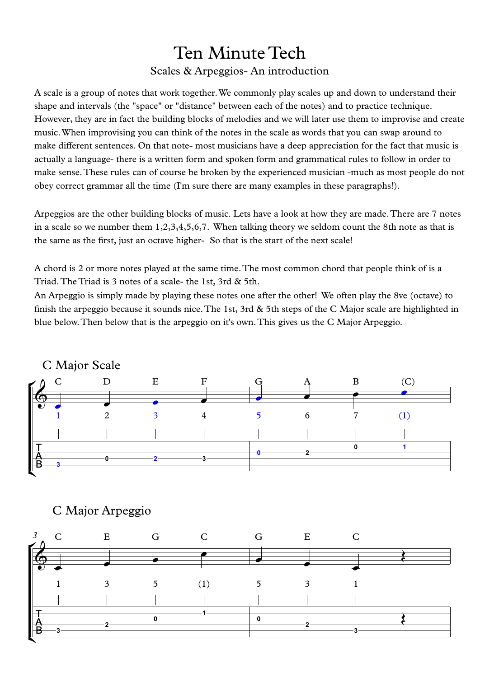## Ten Minute Tech Scales & Arpeggios- An introduction

A scale is a group of notes that work together.We commonly play scales up and down to understand their shape and intervals (the "space" or "distance" between each of the notes) and to practice technique. However, they are in fact the building blocks of melodies and we will later use them to improvise and create music.When improvising you can think of the notes in the scale as words that you can swap around to make different sentences. On that note- most musicians have a deep appreciation for the fact that music is actually a language- there is a written form and spoken form and grammatical rules to follow in order to make sense.These rules can of course be broken by the experienced musician -much as most people do not obey correct grammar all the time (I'm surethere are many examples in these paragraphs!).

Arpeggios are the other building blocks of music. Lets have a look at how they are made.There are 7 notes in a scale so we number them 1,2,3,4,5,6,7. When talking theory we seldom count the 8th note as that is the same as the first, just an octave higher- So that is the start of the next scale!

A chord is2 or more notes played at the same time.The most common chord that people think of is a Triad. The Triad is 3 notes of a scale- the 1st, 3rd & 5th.

An Arpeggio is simply made by playing these notes one after the other! We often play the 8ve (octave) to finish the arpeggio because it sounds nice.The 1st, 3rd & 5th steps of the C Major scale are highlighted in blue below.Then below that is the arpeggio on it's own.This gives us the C Major Arpeggio.





## C Major Arpeggio